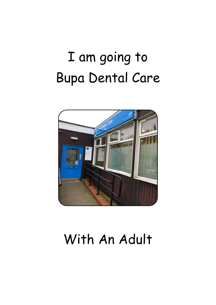## I am going to Bupa Dental Care



## With An Adult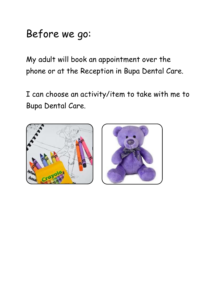## Before we go:

My adult will book an appointment over the phone or at the Reception in Bupa Dental Care.

I can choose an activity/item to take with me to Bupa Dental Care.



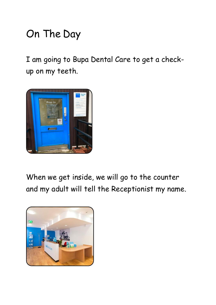## On The Day

I am going to Bupa Dental Care to get a checkup on my teeth.



When we get inside, we will go to the counter and my adult will tell the Receptionist my name.

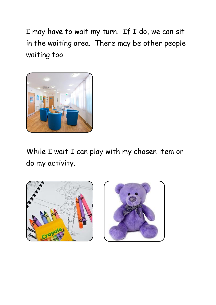I may have to wait my turn. If I do, we can sit in the waiting area. There may be other people waiting too.



While I wait I can play with my chosen item or do my activity.



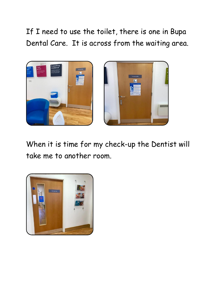If I need to use the toilet, there is one in Bupa Dental Care. It is across from the waiting area.



When it is time for my check-up the Dentist will take me to another room.

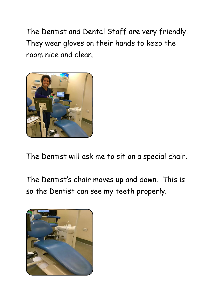The Dentist and Dental Staff are very friendly. They wear gloves on their hands to keep the room nice and clean.



The Dentist will ask me to sit on a special chair.

The Dentist's chair moves up and down. This is so the Dentist can see my teeth properly.

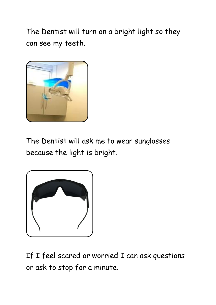The Dentist will turn on a bright light so they can see my teeth.



The Dentist will ask me to wear sunglasses because the light is bright.



If I feel scared or worried I can ask questions or ask to stop for a minute.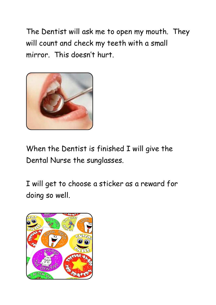The Dentist will ask me to open my mouth. They will count and check my teeth with a small mirror. This doesn't hurt.



When the Dentist is finished I will give the Dental Nurse the sunglasses.

I will get to choose a sticker as a reward for doing so well.